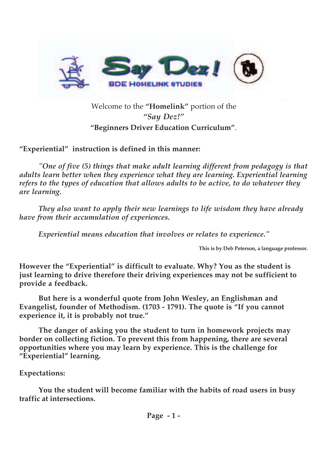

## Welcome to the **"Homelink"** portion of the *"Say Dez!"* **"Beginners Driver Education Curriculum"**.

**"Experiential" instruction is defined in this manner:**

*"One of five (5) things that make adult learning different from pedagogy is that adults learn better when they experience what they are learning. Experiential learning refers to the types of education that allows adults to be active, to do whatever they are learning.*

*They also want to apply their new learnings to life wisdom they have already have from their accumulation of experiences.*

*Experiential means education that involves or relates to experience."*

**This is by Deb Peterson, a language professor.**

**However the "Experiential" is difficult to evaluate. Why? You as the student is just learning to drive therefore their driving experiences may not be sufficient to provide a feedback.**

**But here is a wonderful quote from John Wesley, an Englishman and Evangelist, founder of Methodism. (1703 - 1791). The quote is "If you cannot experience it, it is probably not true."**

**The danger of asking you the student to turn in homework projects may border on collecting fiction. To prevent this from happening, there are several opportunities where you may learn by experience. This is the challenge for "Experiential" learning.** 

#### **Expectations:**

**You the student will become familiar with the habits of road users in busy traffic at intersections.**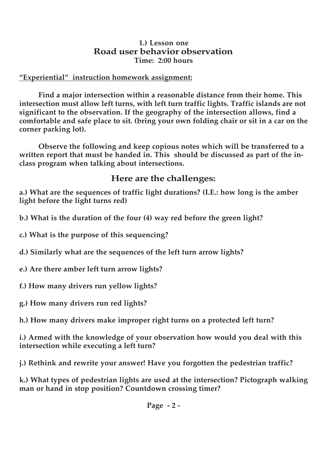#### **1.) Lesson one Road user behavior observation Time: 2:00 hours**

#### **"Experiential" instruction homework assignment:**

**Find a major intersection within a reasonable distance from their home. This intersection must allow left turns, with left turn traffic lights. Traffic islands are not significant to the observation. If the geography of the intersection allows, find a comfortable and safe place to sit. (bring your own folding chair or sit in a car on the corner parking lot).**

**Observe the following and keep copious notes which will be transferred to a written report that must be handed in. This should be discussed as part of the inclass program when talking about intersections.**

## **Here are the challenges:**

**a.) What are the sequences of traffic light durations? (I.E.: how long is the amber light before the light turns red)**

**b.) What is the duration of the four (4) way red before the green light?**

**c.) What is the purpose of this sequencing?**

**d.) Similarly what are the sequences of the left turn arrow lights?**

**e.) Are there amber left turn arrow lights?**

**f.) How many drivers run yellow lights?**

**g.) How many drivers run red lights?**

**h.) How many drivers make improper right turns on a protected left turn?**

**i.) Armed with the knowledge of your observation how would you deal with this intersection while executing a left turn?**

**j.) Rethink and rewrite your answer! Have you forgotten the pedestrian traffic?**

**k.) What types of pedestrian lights are used at the intersection? Pictograph walking man or hand in stop position? Countdown crossing timer?**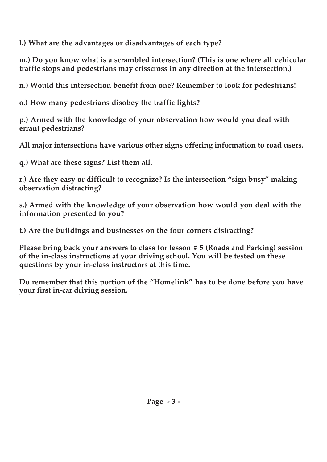**l.) What are the advantages or disadvantages of each type?**

**m.) Do you know what is a scrambled intersection? (This is one where all vehicular traffic stops and pedestrians may crisscross in any direction at the intersection.)**

**n.) Would this intersection benefit from one? Remember to look for pedestrians!**

**o.) How many pedestrians disobey the traffic lights?**

**p.) Armed with the knowledge of your observation how would you deal with errant pedestrians?**

**All major intersections have various other signs offering information to road users.**

**q.) What are these signs? List them all.**

**r.) Are they easy or difficult to recognize? Is the intersection "sign busy" making observation distracting?**

**s.) Armed with the knowledge of your observation how would you deal with the information presented to you?**

**t.) Are the buildings and businesses on the four corners distracting?**

**Please bring back your answers to class for lesson # 5 (Roads and Parking) session of the in-class instructions at your driving school. You will be tested on these questions by your in-class instructors at this time.**

**Do remember that this portion of the "Homelink" has to be done before you have your first in-car driving session.**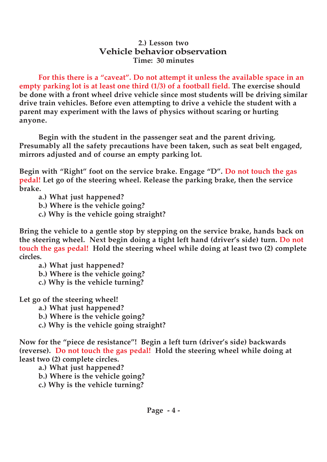#### **2.) Lesson two Vehicle behavior observation Time: 30 minutes**

**For this there is a "caveat". Do not attempt it unless the available space in an empty parking lot is at least one third (1/3) of a football field. The exercise should be done with a front wheel drive vehicle since most students will be driving similar drive train vehicles. Before even attempting to drive a vehicle the student with a parent may experiment with the laws of physics without scaring or hurting anyone.**

**Begin with the student in the passenger seat and the parent driving. Presumably all the safety precautions have been taken, such as seat belt engaged, mirrors adjusted and of course an empty parking lot.**

**Begin with "Right" foot on the service brake. Engage "D". Do not touch the gas pedal! Let go of the steering wheel. Release the parking brake, then the service brake.**

**a.) What just happened?**

**b.) Where is the vehicle going?**

**c.) Why is the vehicle going straight?**

**Bring the vehicle to a gentle stop by stepping on the service brake, hands back on the steering wheel. Next begin doing a tight left hand (driver's side) turn. Do not touch the gas pedal! Hold the steering wheel while doing at least two (2) complete circles.**

**a.) What just happened?**

**b.) Where is the vehicle going?**

**c.) Why is the vehicle turning?**

**Let go of the steering wheel!**

**a.) What just happened?**

**b.) Where is the vehicle going?**

**c.) Why is the vehicle going straight?**

**Now for the "piece de resistance"! Begin a left turn (driver's side) backwards (reverse). Do not touch the gas pedal! Hold the steering wheel while doing at least two (2) complete circles.**

**a.) What just happened?**

**b.) Where is the vehicle going?**

**c.) Why is the vehicle turning?**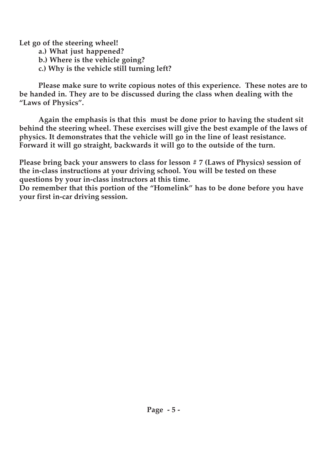**Let go of the steering wheel!**

- **a.) What just happened?**
- **b.) Where is the vehicle going?**
- **c.) Why is the vehicle still turning left?**

**Please make sure to write copious notes of this experience. These notes are to be handed in. They are to be discussed during the class when dealing with the "Laws of Physics".** 

**Again the emphasis is that this must be done prior to having the student sit behind the steering wheel. These exercises will give the best example of the laws of physics. It demonstrates that the vehicle will go in the line of least resistance. Forward it will go straight, backwards it will go to the outside of the turn.**

**Please bring back your answers to class for lesson # 7 (Laws of Physics) session of the in-class instructions at your driving school. You will be tested on these questions by your in-class instructors at this time.**

**Do remember that this portion of the "Homelink" has to be done before you have your first in-car driving session.**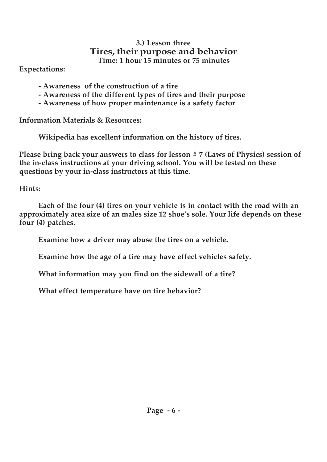#### **3.) Lesson three Tires, their purpose and behavior Time: 1 hour 15 minutes or 75 minutes**

**Expectations:**

- **Awareness of the construction of a tire**
- **Awareness of the different types of tires and their purpose**
- **Awareness of how proper maintenance is a safety factor**

**Information Materials & Resources:**

**Wikipedia has excellent information on the history of tires.**

**Please bring back your answers to class for lesson # 7 (Laws of Physics) session of the in-class instructions at your driving school. You will be tested on these questions by your in-class instructors at this time.**

**Hints:**

**Each of the four (4) tires on your vehicle is in contact with the road with an approximately area size of an males size 12 shoe's sole. Your life depends on these four (4) patches.**

**Examine how a driver may abuse the tires on a vehicle.**

**Examine how the age of a tire may have effect vehicles safety.**

**What information may you find on the sidewall of a tire?** 

**What effect temperature have on tire behavior?**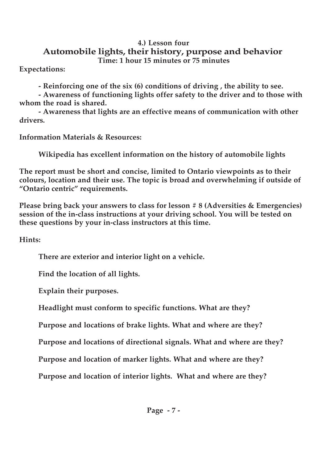#### **4.) Lesson four Automobile lights, their history, purpose and behavior Time: 1 hour 15 minutes or 75 minutes**

**Expectations:**

**- Reinforcing one of the six (6) conditions of driving , the ability to see.** 

**- Awareness of functioning lights offer safety to the driver and to those with whom the road is shared.**

**- Awareness that lights are an effective means of communication with other drivers.**

**Information Materials & Resources:**

**Wikipedia has excellent information on the history of automobile lights**

**The report must be short and concise, limited to Ontario viewpoints as to their colours, location and their use. The topic is broad and overwhelming if outside of "Ontario centric" requirements.**

**Please bring back your answers to class for lesson # 8 (Adversities & Emergencies) session of the in-class instructions at your driving school. You will be tested on these questions by your in-class instructors at this time.**

**Hints:**

**There are exterior and interior light on a vehicle.**

**Find the location of all lights.**

**Explain their purposes.**

**Headlight must conform to specific functions. What are they?**

**Purpose and locations of brake lights. What and where are they?**

**Purpose and locations of directional signals. What and where are they?**

**Purpose and location of marker lights. What and where are they?**

**Purpose and location of interior lights. What and where are they?**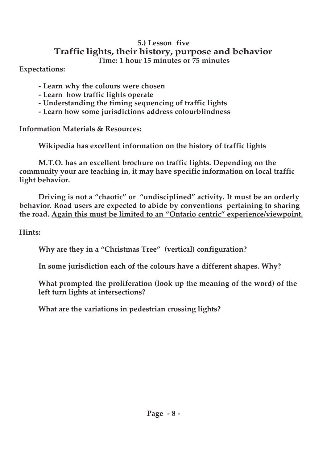#### **5.) Lesson five Traffic lights, their history, purpose and behavior Time: 1 hour 15 minutes or 75 minutes**

**Expectations:**

- **Learn why the colours were chosen**
- **Learn how traffic lights operate**
- **Understanding the timing sequencing of traffic lights**
- **Learn how some jurisdictions address colourblindness**

**Information Materials & Resources:**

**Wikipedia has excellent information on the history of traffic lights**

**M.T.O. has an excellent brochure on traffic lights. Depending on the community your are teaching in, it may have specific information on local traffic light behavior.**

**Driving is not a "chaotic" or "undisciplined" activity. It must be an orderly behavior. Road users are expected to abide by conventions pertaining to sharing the road. Again this must be limited to an "Ontario centric" experience/viewpoint.**

**Hints:**

**Why are they in a "Christmas Tree" (vertical) configuration?**

**In some jurisdiction each of the colours have a different shapes. Why?**

**What prompted the proliferation (look up the meaning of the word) of the left turn lights at intersections?**

**What are the variations in pedestrian crossing lights?**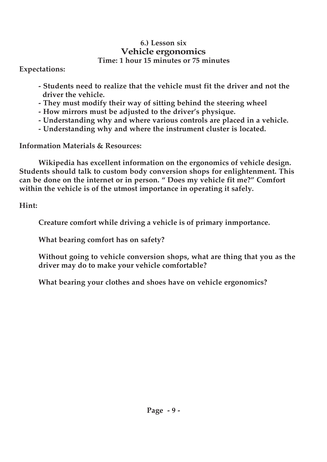#### **6.) Lesson six Vehicle ergonomics Time: 1 hour 15 minutes or 75 minutes**

**Expectations:**

- **Students need to realize that the vehicle must fit the driver and not the driver the vehicle.**
- **They must modify their way of sitting behind the steering wheel**
- **How mirrors must be adjusted to the driver's physique.**
- **Understanding why and where various controls are placed in a vehicle.**
- **Understanding why and where the instrument cluster is located.**

**Information Materials & Resources:**

**Wikipedia has excellent information on the ergonomics of vehicle design. Students should talk to custom body conversion shops for enlightenment. This can be done on the internet or in person. " Does my vehicle fit me?" Comfort within the vehicle is of the utmost importance in operating it safely.**

**Hint:**

**Creature comfort while driving a vehicle is of primary inmportance.** 

**What bearing comfort has on safety?**

**Without going to vehicle conversion shops, what are thing that you as the driver may do to make your vehicle comfortable?**

**What bearing your clothes and shoes have on vehicle ergonomics?**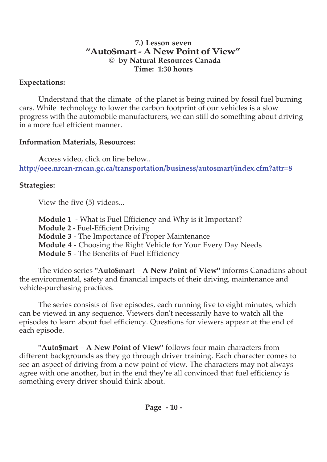#### **7.) Lesson seven "Auto\$mart - A New Point of View" © by Natural Resources Canada Time: 1:30 hours**

## **Expectations:**

Understand that the climate of the planet is being ruined by fossil fuel burning cars. While technology to lower the carbon footprint of our vehicles is a slow progress with the automobile manufacturers, we can still do something about driving in a more fuel efficient manner.

## **Information Materials, Resources:**

**A**ccess video, click on line below.. **http://oee.nrcan-rncan.gc.ca/transportation/business/autosmart/index.cfm?attr=8**

## **Strategies:**

View the five (5) videos...

- **Module 1** What is Fuel Efficiency and Why is it Important?
- **Module 2** Fuel-Efficient Driving
- **Module 3** The Importance of Proper Maintenance
- **Module 4** Choosing the Right Vehicle for Your Every Day Needs
- **Module 5**  The Benefits of Fuel Efficiency

The video series **"Auto\$mart – A New Point of View"** informs Canadians about the environmental, safety and financial impacts of their driving, maintenance and vehicle-purchasing practices.

The series consists of five episodes, each running five to eight minutes, which can be viewed in any sequence. Viewers don't necessarily have to watch all the episodes to learn about fuel efficiency. Questions for viewers appear at the end of each episode.

**"Auto\$mart – A New Point of View"** follows four main characters from different backgrounds as they go through driver training. Each character comes to see an aspect of driving from a new point of view. The characters may not always agree with one another, but in the end they're all convinced that fuel efficiency is something every driver should think about.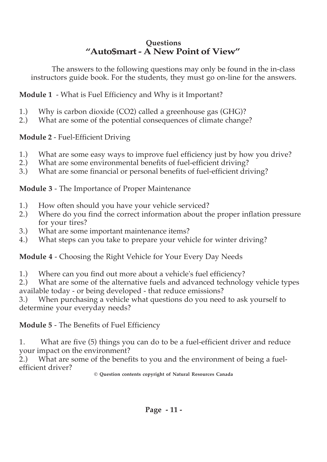## **Questions "Auto\$mart - A New Point of View"**

The answers to the following questions may only be found in the in-class instructors guide book. For the students, they must go on-line for the answers.

**Module 1** - What is Fuel Efficiency and Why is it Important?

- 1.) Why is carbon dioxide (CO2) called a greenhouse gas (GHG)?<br>2.) What are some of the potential consequences of climate change
- 2.) What are some of the potential consequences of climate change?

## **Module 2** - Fuel-Efficient Driving

- 1.) What are some easy ways to improve fuel efficiency just by how you drive?
- 2.) What are some environmental benefits of fuel-efficient driving?
- 3.) What are some financial or personal benefits of fuel-efficient driving?

**Module 3** - The Importance of Proper Maintenance

- 1.) How often should you have your vehicle serviced?
- 2.) Where do you find the correct information about the proper inflation pressure for your tires?
- 3.) What are some important maintenance items?
- 4.) What steps can you take to prepare your vehicle for winter driving?

## **Module 4** - Choosing the Right Vehicle for Your Every Day Needs

- 1.) Where can you find out more about a vehicle's fuel efficiency?
- 2.) What are some of the alternative fuels and advanced technology vehicle types available today - or being developed - that reduce emissions?

3.) When purchasing a vehicle what questions do you need to ask yourself to determine your everyday needs?

**Module 5** - The Benefits of Fuel Efficiency

1. What are five (5) things you can do to be a fuel-efficient driver and reduce your impact on the environment?

2.) What are some of the benefits to you and the environment of being a fuelefficient driver?

**© Question contents copyright of Natural Resources Canada**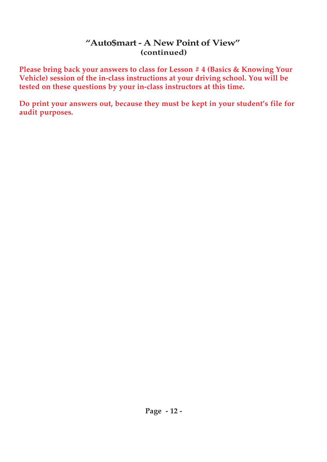### **"Auto\$mart - A New Point of View" (continued)**

**Please bring back your answers to class for Lesson # 4 (Basics & Knowing Your Vehicle) session of the in-class instructions at your driving school. You will be tested on these questions by your in-class instructors at this time.**

**Do print your answers out, because they must be kept in your student's file for audit purposes.**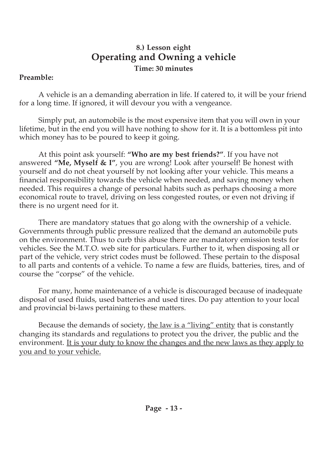## **8.) Lesson eight Operating and Owning a vehicle Time: 30 minutes**

### **Preamble:**

A vehicle is an a demanding aberration in life. If catered to, it will be your friend for a long time. If ignored, it will devour you with a vengeance.

Simply put, an automobile is the most expensive item that you will own in your lifetime, but in the end you will have nothing to show for it. It is a bottomless pit into which money has to be poured to keep it going.

At this point ask yourself: **"Who are my best friends?"**. If you have not answered **"Me, Myself & I"**, you are wrong! Look after yourself! Be honest with yourself and do not cheat yourself by not looking after your vehicle. This means a financial responsibility towards the vehicle when needed, and saving money when needed. This requires a change of personal habits such as perhaps choosing a more economical route to travel, driving on less congested routes, or even not driving if there is no urgent need for it.

There are mandatory statues that go along with the ownership of a vehicle. Governments through public pressure realized that the demand an automobile puts on the environment. Thus to curb this abuse there are mandatory emission tests for vehicles. See the M.T.O. web site for particulars. Further to it, when disposing all or part of the vehicle, very strict codes must be followed. These pertain to the disposal to all parts and contents of a vehicle. To name a few are fluids, batteries, tires, and of course the "corpse" of the vehicle.

For many, home maintenance of a vehicle is discouraged because of inadequate disposal of used fluids, used batteries and used tires. Do pay attention to your local and provincial bi-laws pertaining to these matters.

Because the demands of society, the law is a "living" entity that is constantly changing its standards and regulations to protect you the driver, the public and the environment. It is your duty to know the changes and the new laws as they apply to you and to your vehicle.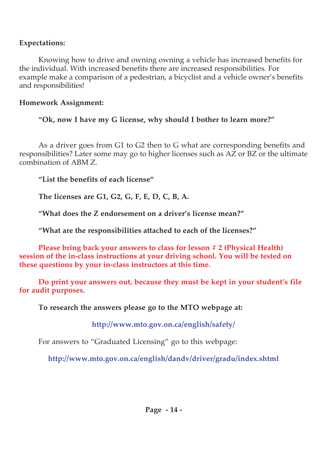### **Expectations:**

Knowing how to drive and owning owning a vehicle has increased benefits for the individual. With increased benefits there are increased responsibilities. For example make a comparison of a pedestrian, a bicyclist and a vehicle owner's benefits and responsibilities!

## **Homework Assignment:**

**"Ok, now I have my G license, why should I bother to learn more?"**

As a driver goes from G1 to G2 then to G what are corresponding benefits and responsibilities? Later some may go to higher licenses such as AZ or BZ or the ultimate combination of ABM Z.

**"List the benefits of each license"**

**The licenses are G1, G2, G, F, E, D, C, B, A.**

**"What does the Z endorsement on a driver's license mean?"**

**"What are the responsibilities attached to each of the licenses?"**

**Please bring back your answers to class for lesson # 2 (Physical Health) session of the in-class instructions at your driving school. You will be tested on these questions by your in-class instructors at this time.**

**Do print your answers out, because they must be kept in your student's file for audit purposes.**

**To research the answers please go to the MTO webpage at:**

**http://www.mto.gov.on.ca/english/safety/**

For answers to "Graduated Licensing" go to this webpage:

**http://www.mto.gov.on.ca/english/dandv/driver/gradu/index.shtml**